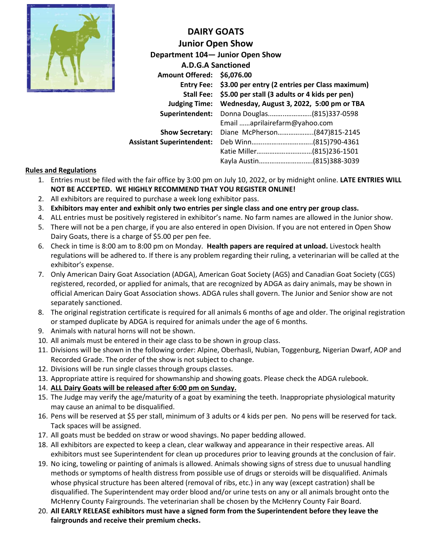

**DAIRY GOATS Junior Open Show Department 104— Junior Open Show A.D.G.A Sanctioned Amount Offered: \$6,076.00 Entry Fee: \$3.00 per entry (2 entries per Class maximum) Stall Fee: \$5.00 per stall (3 adults or 4 kids per pen) Judging Time: Wednesday, August 3, 2022, 5:00 pm or TBA Superintendent:** Donna Douglas..……..…………..(815)337-0598 Email ……aprilairefarm@yahoo.com **Show Secretary:** Diane McPherson………………..(847)815-2145 **Assistant Superintendent:** Deb Winn……..……………………..(815)790-4361 Katie Miller….………………………(815)236-1501 Kayla Austin……………………..….(815)388-3039

# **Rules and Regulations**

- 1. Entries must be filed with the fair office by 3:00 pm on July 10, 2022, or by midnight online. **LATE ENTRIES WILL NOT BE ACCEPTED. WE HIGHLY RECOMMEND THAT YOU REGISTER ONLINE!**
- 2. All exhibitors are required to purchase a week long exhibitor pass.
- 3. **Exhibitors may enter and exhibit only two entries per single class and one entry per group class.**
- 4. ALL entries must be positively registered in exhibitor's name. No farm names are allowed in the Junior show.
- 5. There will not be a pen charge, if you are also entered in open Division. If you are not entered in Open Show Dairy Goats, there is a charge of \$5.00 per pen fee.
- 6. Check in time is 8:00 am to 8:00 pm on Monday. **Health papers are required at unload.** Livestock health regulations will be adhered to. If there is any problem regarding their ruling, a veterinarian will be called at the exhibitor's expense.
- 7. Only American Dairy Goat Association (ADGA), American Goat Society (AGS) and Canadian Goat Society (CGS) registered, recorded, or applied for animals, that are recognized by ADGA as dairy animals, may be shown in official American Dairy Goat Association shows. ADGA rules shall govern. The Junior and Senior show are not separately sanctioned.
- 8. The original registration certificate is required for all animals 6 months of age and older. The original registration or stamped duplicate by ADGA is required for animals under the age of 6 months.
- 9. Animals with natural horns will not be shown.
- 10. All animals must be entered in their age class to be shown in group class.
- 11. Divisions will be shown in the following order: Alpine, Oberhasli, Nubian, Toggenburg, Nigerian Dwarf, AOP and Recorded Grade. The order of the show is not subject to change.
- 12. Divisions will be run single classes through groups classes.
- 13. Appropriate attire is required for showmanship and showing goats. Please check the ADGA rulebook.
- 14. **ALL Dairy Goats will be released after 6:00 pm on Sunday.**
- 15. The Judge may verify the age/maturity of a goat by examining the teeth. Inappropriate physiological maturity may cause an animal to be disqualified.
- 16. Pens will be reserved at \$5 per stall, minimum of 3 adults or 4 kids per pen. No pens will be reserved for tack. Tack spaces will be assigned.
- 17. All goats must be bedded on straw or wood shavings. No paper bedding allowed.
- 18. All exhibitors are expected to keep a clean, clear walkway and appearance in their respective areas. All exhibitors must see Superintendent for clean up procedures prior to leaving grounds at the conclusion of fair.
- 19. No icing, toweling or painting of animals is allowed. Animals showing signs of stress due to unusual handling methods or symptoms of health distress from possible use of drugs or steroids will be disqualified. Animals whose physical structure has been altered (removal of ribs, etc.) in any way (except castration) shall be disqualified. The Superintendent may order blood and/or urine tests on any or all animals brought onto the McHenry County Fairgrounds. The veterinarian shall be chosen by the McHenry County Fair Board.
- 20. **All EARLY RELEASE exhibitors must have a signed form from the Superintendent before they leave the fairgrounds and receive their premium checks.**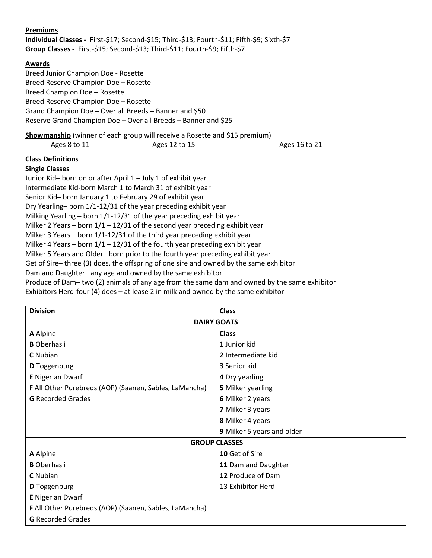### **Premiums**

**Individual Classes -** First-\$17; Second-\$15; Third-\$13; Fourth-\$11; Fifth-\$9; Sixth-\$7 **Group Classes -** First-\$15; Second-\$13; Third-\$11; Fourth-\$9; Fifth-\$7

### **Awards**

Breed Junior Champion Doe - Rosette Breed Reserve Champion Doe – Rosette Breed Champion Doe – Rosette Breed Reserve Champion Doe – Rosette Grand Champion Doe – Over all Breeds – Banner and \$50 Reserve Grand Champion Doe – Over all Breeds – Banner and \$25

# **Showmanship** (winner of each group will receive a Rosette and \$15 premium)

Ages 8 to 11 Ages 12 to 15 Ages 16 to 21

### **Class Definitions**

### **Single Classes**

Junior Kid– born on or after April 1 – July 1 of exhibit year Intermediate Kid-born March 1 to March 31 of exhibit year Senior Kid– born January 1 to February 29 of exhibit year Dry Yearling– born 1/1-12/31 of the year preceding exhibit year Milking Yearling – born 1/1-12/31 of the year preceding exhibit year Milker 2 Years – born  $1/1 - 12/31$  of the second year preceding exhibit year Milker 3 Years – born 1/1-12/31 of the third year preceding exhibit year Milker 4 Years – born  $1/1 - 12/31$  of the fourth year preceding exhibit year Milker 5 Years and Older– born prior to the fourth year preceding exhibit year Get of Sire– three (3) does, the offspring of one sire and owned by the same exhibitor Dam and Daughter– any age and owned by the same exhibitor Produce of Dam– two (2) animals of any age from the same dam and owned by the same exhibitor Exhibitors Herd-four (4) does – at lease 2 in milk and owned by the same exhibitor

| <b>Division</b>                                        | <b>Class</b>               |  |  |  |  |
|--------------------------------------------------------|----------------------------|--|--|--|--|
| <b>DAIRY GOATS</b>                                     |                            |  |  |  |  |
| A Alpine                                               | <b>Class</b>               |  |  |  |  |
| <b>B</b> Oberhasli                                     | 1 Junior kid               |  |  |  |  |
| <b>C</b> Nubian                                        | 2 Intermediate kid         |  |  |  |  |
| <b>D</b> Toggenburg                                    | <b>3</b> Senior kid        |  |  |  |  |
| <b>E</b> Nigerian Dwarf                                | 4 Dry yearling             |  |  |  |  |
| F All Other Purebreds (AOP) (Saanen, Sables, LaMancha) | <b>5 Milker yearling</b>   |  |  |  |  |
| <b>G</b> Recorded Grades                               | 6 Milker 2 years           |  |  |  |  |
|                                                        | 7 Milker 3 years           |  |  |  |  |
|                                                        | 8 Milker 4 years           |  |  |  |  |
|                                                        | 9 Milker 5 years and older |  |  |  |  |
| <b>GROUP CLASSES</b>                                   |                            |  |  |  |  |
| A Alpine                                               | 10 Get of Sire             |  |  |  |  |
| <b>B</b> Oberhasli                                     | 11 Dam and Daughter        |  |  |  |  |
| <b>C</b> Nubian                                        | 12 Produce of Dam          |  |  |  |  |
| D Toggenburg                                           | 13 Exhibitor Herd          |  |  |  |  |
| <b>E</b> Nigerian Dwarf                                |                            |  |  |  |  |
| F All Other Purebreds (AOP) (Saanen, Sables, LaMancha) |                            |  |  |  |  |
| <b>G</b> Recorded Grades                               |                            |  |  |  |  |